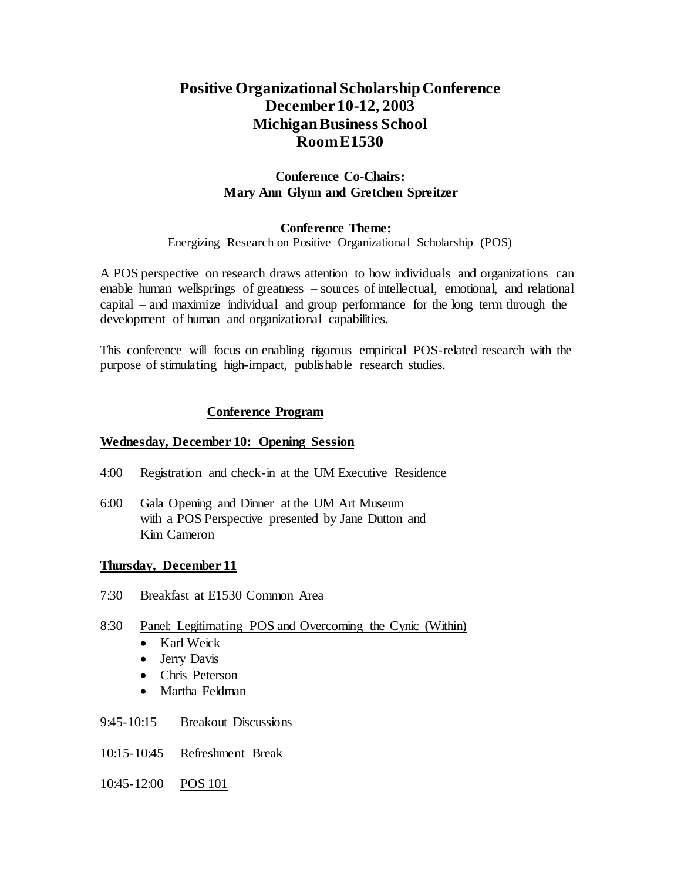# **Positive Organizational ScholarshipConference December 10-12, 2003 Michigan Business School Room E1530**

# **Conference Co-Chairs: Mary Ann Glynn and Gretchen Spreitzer**

## **Conference Theme:**

Energizing Research on Positive Organizational Scholarship (POS)

A POS perspective on research draws attention to how individuals and organizations can enable human wellsprings of greatness – sources of intellectual, emotional, and relational capital – and maximize individual and group performance for the long term through the development of human and organizational capabilities.

This conference will focus on enabling rigorous empirical POS-related research with the purpose of stimulating high-impact, publishable research studies.

## **Conference Program**

#### **Wednesday, December 10: Opening Session**

- 4:00 Registration and check-in at the UM Executive Residence
- 6:00 Gala Opening and Dinner at the UM Art Museum with a POS Perspective presented by Jane Dutton and Kim Cameron

#### **Thursday, December 11**

7:30 Breakfast at E1530 Common Area

#### 8:30 Panel: Legitimating POS and Overcoming the Cynic (Within)

- Karl Weick
- Jerry Davis
- Chris Peterson
- Martha Feldman
- 9:45-10:15 Breakout Discussions
- 10:15-10:45 Refreshment Break
- 10:45-12:00 POS 101